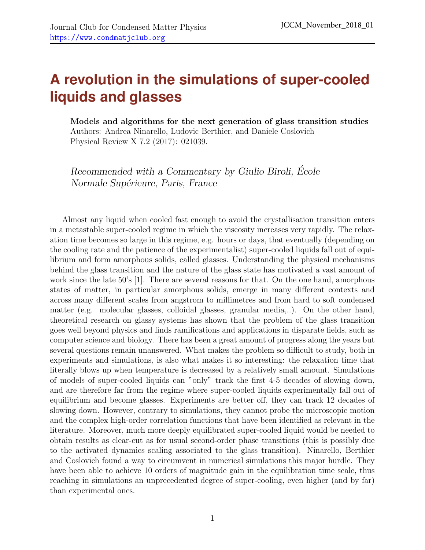## **A revolution in the simulations of super-cooled liquids and glasses**

Models and algorithms for the next generation of glass transition studies Authors: Andrea Ninarello, Ludovic Berthier, and Daniele Coslovich Physical Review X 7.2 (2017): 021039.

Recommended with a Commentary by Giulio Biroli, École Normale Supérieure, Paris, France

Almost any liquid when cooled fast enough to avoid the crystallisation transition enters in a metastable super-cooled regime in which the viscosity increases very rapidly. The relaxation time becomes so large in this regime, e.g. hours or days, that eventually (depending on the cooling rate and the patience of the experimentalist) super-cooled liquids fall out of equilibrium and form amorphous solids, called glasses. Understanding the physical mechanisms behind the glass transition and the nature of the glass state has motivated a vast amount of work since the late 50's [\[1\]](#page-2-0). There are several reasons for that. On the one hand, amorphous states of matter, in particular amorphous solids, emerge in many different contexts and across many different scales from angstrom to millimetres and from hard to soft condensed matter (e.g. molecular glasses, colloidal glasses, granular media,..). On the other hand, theoretical research on glassy systems has shown that the problem of the glass transition goes well beyond physics and finds ramifications and applications in disparate fields, such as computer science and biology. There has been a great amount of progress along the years but several questions remain unanswered. What makes the problem so difficult to study, both in experiments and simulations, is also what makes it so interesting: the relaxation time that literally blows up when temperature is decreased by a relatively small amount. Simulations of models of super-cooled liquids can "only" track the first 4-5 decades of slowing down, and are therefore far from the regime where super-cooled liquids experimentally fall out of equilibrium and become glasses. Experiments are better off, they can track 12 decades of slowing down. However, contrary to simulations, they cannot probe the microscopic motion and the complex high-order correlation functions that have been identified as relevant in the literature. Moreover, much more deeply equilibrated super-cooled liquid would be needed to obtain results as clear-cut as for usual second-order phase transitions (this is possibly due to the activated dynamics scaling associated to the glass transition). Ninarello, Berthier and Coslovich found a way to circumvent in numerical simulations this major hurdle. They have been able to achieve 10 orders of magnitude gain in the equilibration time scale, thus reaching in simulations an unprecedented degree of super-cooling, even higher (and by far) than experimental ones.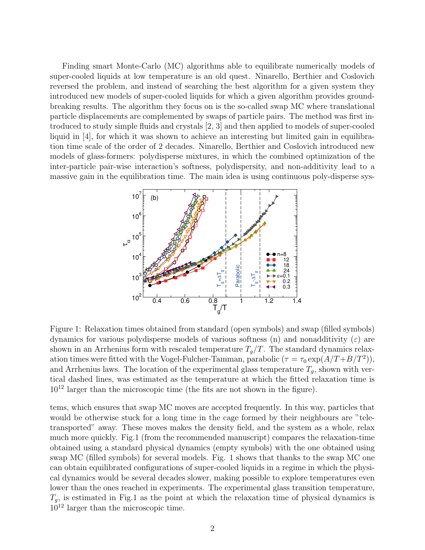Finding smart Monte-Carlo (MC) algorithms able to equilibrate numerically models of super-cooled liquids at low temperature is an old quest. Ninarello, Berthier and Coslovich reversed the problem, and instead of searching the best algorithm for a given system they introduced new models of super-cooled liquids for which a given algorithm provides groundbreaking results. The algorithm they focus on is the so-called swap MC where translational particle displacements are complemented by swaps of particle pairs. The method was first introduced to study simple fluids and crystals [\[2,](#page-2-1) [3\]](#page-2-2) and then applied to models of super-cooled liquid in [\[4\]](#page-2-3), for which it was shown to achieve an interesting but limited gain in equilibration time scale of the order of 2 decades. Ninarello, Berthier and Coslovich introduced new models of glass-formers: polydisperse mixtures, in which the combined optimization of the inter-particle pair-wise interaction's softness, polydispersity, and non-additivity lead to a massive gain in the equilibration time. The main idea is using continuous poly-disperse sys-



Figure 1: Relaxation times obtained from standard (open symbols) and swap (filled symbols) dynamics for various polydisperse models of various softness (n) and nonadditivity  $(\varepsilon)$  are shown in an Arrhenius form with rescaled temperature  $T_q/T$ . The standard dynamics relaxation times were fitted with the Vogel-Fulcher-Tamman, parabolic  $(\tau = \tau_0 \exp(A/T + B/T^2))$ , and Arrhenius laws. The location of the experimental glass temperature  $T_g$ , shown with vertical dashed lines, was estimated as the temperature at which the fitted relaxation time is  $10^{12}$  larger than the microscopic time (the fits are not shown in the figure).

tems, which ensures that swap MC moves are accepted frequently. In this way, particles that would be otherwise stuck for a long time in the cage formed by their neighbours are "teletransported" away. These moves makes the density field, and the system as a whole, relax much more quickly. Fig.1 (from the recommended manuscript) compares the relaxation-time obtained using a standard physical dynamics (empty symbols) with the one obtained using swap MC (filled symbols) for several models. Fig. 1 shows that thanks to the swap MC one can obtain equilibrated configurations of super-cooled liquids in a regime in which the physical dynamics would be several decades slower, making possible to explore temperatures even lower than the ones reached in experiments. The experimental glass transition temperature,  $T_g$ , is estimated in Fig.1 as the point at which the relaxation time of physical dynamics is 10<sup>12</sup> larger than the microscopic time.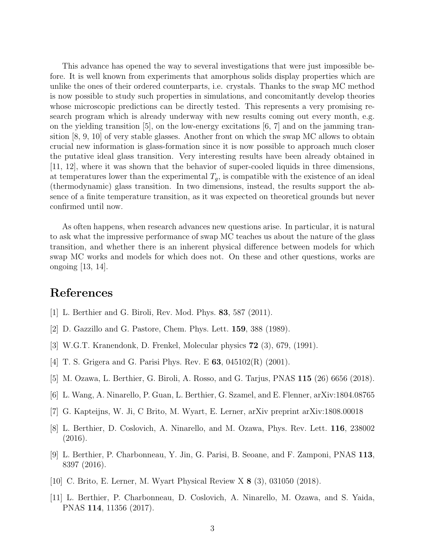This advance has opened the way to several investigations that were just impossible before. It is well known from experiments that amorphous solids display properties which are unlike the ones of their ordered counterparts, i.e. crystals. Thanks to the swap MC method is now possible to study such properties in simulations, and concomitantly develop theories whose microscopic predictions can be directly tested. This represents a very promising research program which is already underway with new results coming out every month, e.g. on the yielding transition  $[5]$ , on the low-energy excitations  $[6, 7]$  $[6, 7]$  $[6, 7]$  and on the jamming transition [\[8,](#page-2-7) [9,](#page-2-8) [10\]](#page-2-9) of very stable glasses. Another front on which the swap MC allows to obtain crucial new information is glass-formation since it is now possible to approach much closer the putative ideal glass transition. Very interesting results have been already obtained in [\[11,](#page-2-10) [12\]](#page-3-0), where it was shown that the behavior of super-cooled liquids in three dimensions, at temperatures lower than the experimental  $T_g$ , is compatible with the existence of an ideal (thermodynamic) glass transition. In two dimensions, instead, the results support the absence of a finite temperature transition, as it was expected on theoretical grounds but never confirmed until now.

As often happens, when research advances new questions arise. In particular, it is natural to ask what the impressive performance of swap MC teaches us about the nature of the glass transition, and whether there is an inherent physical difference between models for which swap MC works and models for which does not. On these and other questions, works are ongoing [\[13,](#page-3-1) [14\]](#page-3-2).

## References

- <span id="page-2-0"></span>[1] L. Berthier and G. Biroli, Rev. Mod. Phys. 83, 587 (2011).
- <span id="page-2-1"></span>[2] D. Gazzillo and G. Pastore, Chem. Phys. Lett. 159, 388 (1989).
- <span id="page-2-2"></span>[3] W.G.T. Kranendonk, D. Frenkel, Molecular physics 72 (3), 679, (1991).
- <span id="page-2-3"></span>[4] T. S. Grigera and G. Parisi Phys. Rev. E **63**, 045102(R) (2001).
- <span id="page-2-4"></span>[5] M. Ozawa, L. Berthier, G. Biroli, A. Rosso, and G. Tarjus, PNAS 115 (26) 6656 (2018).
- <span id="page-2-5"></span>[6] L. Wang, A. Ninarello, P. Guan, L. Berthier, G. Szamel, and E. Flenner, arXiv:1804.08765
- <span id="page-2-6"></span>[7] G. Kapteijns, W. Ji, C Brito, M. Wyart, E. Lerner, arXiv preprint arXiv:1808.00018
- <span id="page-2-7"></span>[8] L. Berthier, D. Coslovich, A. Ninarello, and M. Ozawa, Phys. Rev. Lett. 116, 238002 (2016).
- <span id="page-2-8"></span>[9] L. Berthier, P. Charbonneau, Y. Jin, G. Parisi, B. Seoane, and F. Zamponi, PNAS 113, 8397 (2016).
- <span id="page-2-9"></span>[10] C. Brito, E. Lerner, M. Wyart Physical Review X 8 (3), 031050 (2018).
- <span id="page-2-10"></span>[11] L. Berthier, P. Charbonneau, D. Coslovich, A. Ninarello, M. Ozawa, and S. Yaida, PNAS 114, 11356 (2017).